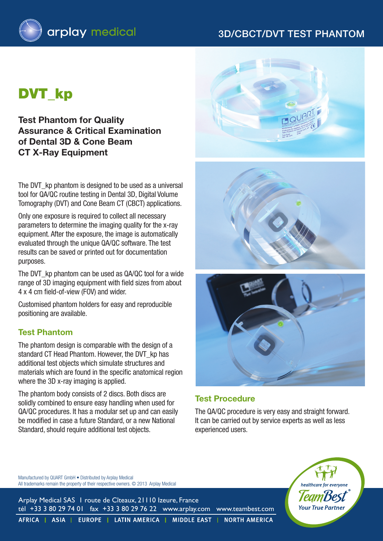# 3D/cbct/dvt Test Phantom



# DVT kp

**Test Phantom for Quality Assurance & Critical Examination of Dental 3D & Cone Beam CT X-Ray Equipment**

The DVT kp phantom is designed to be used as a universal tool for QA/QC routine testing in Dental 3D, Digital Volume Tomography (DVT) and Cone Beam CT (CBCT) applications.

Only one exposure is required to collect all necessary parameters to determine the imaging quality for the x-ray equipment. After the exposure, the image is automatically evaluated through the unique QA/QC software. The test results can be saved or printed out for documentation purposes.

The DVT kp phantom can be used as QA/QC tool for a wide range of 3D imaging equipment with field sizes from about 4 x 4 cm field-of-view (FOV) and wider.

Customised phantom holders for easy and reproducible positioning are available.

#### **Test Phantom**

The phantom design is comparable with the design of a standard CT Head Phantom. However, the DVT\_kp has additional test objects which simulate structures and materials which are found in the specific anatomical region where the 3D x-ray imaging is applied.

The phantom body consists of 2 discs. Both discs are solidly combined to ensure easy handling when used for QA/QC procedures. It has a modular set up and can easily be modified in case a future Standard, or a new National Standard, should require additional test objects.







#### **Test Procedure**

The QA/QC procedure is very easy and straight forward. It can be carried out by service experts as well as less experienced users.



Manufactured by QUART GmbH • Distributed by Arplay Medical All trademarks remain the property of their respective owners. © 2013 Arplay Medical

Arplay Medical SAS 1 route de Cîteaux, 21110 Izeure, France tél +33 3 80 29 74 01 fax +33 3 80 29 76 22 www.arplay.com www.teambest.com

AFRICA | ASIA | EUROPE | LATIN AMERICA | MIDDLE EAST | NORTH AMERICA